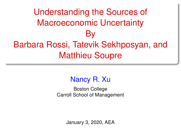# <span id="page-0-0"></span>Understanding the Sources of Macroeconomic Uncertainty By Barbara Rossi, Tatevik Sekhposyan, and Matthieu Soupre

### Nancy R. Xu

Boston College Carroll School of Management

January 3, 2020, AEA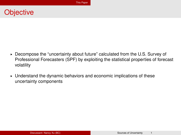### <span id="page-1-0"></span>**Objective**

- ► Decompose the "uncertainty about future" calculated from the U.S. Survey of Professional Forecasters (SPF) by exploiting the statistical properties of forecast volatility
- § Understand the dynamic behaviors and economic implications of these uncertainty components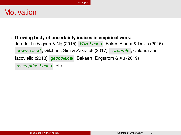### **Motivation**

§ **Growing body of uncertainty indices in empirical work:**

Jurado, Ludvigson & Ng (2015) *VAR-based* ; Baker, Bloom & Davis (2016) *news-based* ; Gilchrist, Sim & Zakrajek (2017) *corporate* ; Caldara and Iacoviello (2018) *geopolitical* ; Bekaert, Engstrom & Xu (2019) *asset price-based* ; etc.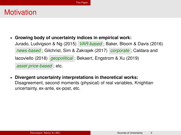### **Motivation**

- § **Growing body of uncertainty indices in empirical work:** Jurado, Ludvigson & Ng (2015) *VAR-based* ; Baker, Bloom & Davis (2016) *news-based* ; Gilchrist, Sim & Zakrajek (2017) *corporate* ; Caldara and Iacoviello (2018) *geopolitical* ; Bekaert, Engstrom & Xu (2019) *asset price-based* ; etc.
- § **Divergent uncertainty interpretations in theoretical works:** Disagreement, second moments (physical) of real variables, Knightian uncertainty, ex-ante, ex-post, etc.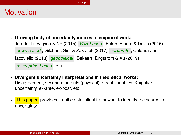### **Motivation**

- § **Growing body of uncertainty indices in empirical work:** Jurado, Ludvigson & Ng (2015) *VAR-based* ; Baker, Bloom & Davis (2016) *news-based* ; Gilchrist, Sim & Zakrajek (2017) *corporate* ; Caldara and Iacoviello (2018) *geopolitical* ; Bekaert, Engstrom & Xu (2019) *asset price-based* ; etc.
- § **Divergent uncertainty interpretations in theoretical works:** Disagreement, second moments (physical) of real variables, Knightian uncertainty, ex-ante, ex-post, etc.
- ► This paper provides a unified statistical framework to identify the sources of uncertainty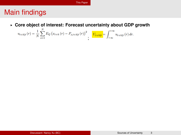### Main findings

§ **Core object of interest: Forecast uncertainty about GDP growth**

$$
u_{t+h|t}(r) = \frac{1}{N} \sum_{s=1}^{N} E_Q (x_{t+h}(r) - P_{s,t+h|t}(r))^2 \prod_{t+h|t} \left( \frac{U_{t+h|t}}{U_{t+h|t}} \right) \left( \frac{1}{\omega} \right) \left( \frac{U_{t+h|t}}{U_{t+h|t}} \right)
$$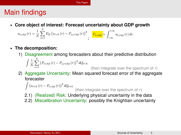#### [This Paper](#page-1-0)

### Main findings

§ **Core object of interest: Forecast uncertainty about GDP growth**

$$
u_{t+h|t}(r) = \frac{1}{N} \sum_{s=1}^{N} E_Q (x_{t+h}(r) - P_{s,t+h|t}(r))^2 \int_{\tau}^{t} \frac{U_{t+h|t}}{\tau} \, dt = \int_{-\infty}^{+\infty} u_{t+h|t}(r) \, dr.
$$

- § **The decomposition:**
	- 1) Disagreement among forecasters about their predictive distribution

$$
\int \frac{1}{N} \sum_{s=1}^{N} (P_{t+h|t}(r) - P_{s,t+h|t}(r))^2 dQ_{t+h}
$$

(then integrate over the spectrum of *r*)

2) Aggregate Uncertainty: Mean squared forecast error of the aggregate forecaster

$$
\int (x_{t+h}(r) - P_{t+h|t}(r))^2 dQ_{t+h}
$$
 (then integrate over the spectrum of r)

- 2.1) (Realized) Risk: Underlying physical uncertainty in the data
- 2.2) Miscalibration Uncertainty: possibly the Knightian uncertainty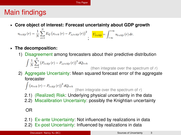[This Paper](#page-1-0)

### Main findings

§ **Core object of interest: Forecast uncertainty about GDP growth**

 $u_{t+h|t}\left(r\right)=\frac{1}{N}\sum_{\scriptscriptstyle\epsilon=1}^{N}E_{Q}\left(x_{t+h}\left(r\right)-P_{s,t+h|t}\left(r\right)\right)^{2}\quad \ \ \underbrace{U_{t+h|t}}=\int_{-\infty}^{+\infty}u_{t+h|t}\left(r\right)dr.$ 

- § **The decomposition:**
	- 1) Disagreement among forecasters about their predictive distribution

$$
\int \frac{1}{N} \sum_{s=1}^{N} (P_{t+h|t}(r) - P_{s,t+h|t}(r))^2 dQ_{t+h}
$$

(then integrate over the spectrum of *r*)

2) Aggregate Uncertainty: Mean squared forecast error of the aggregate forecaster

$$
\int (x_{t+h}(r) - P_{t+h|t}(r))^2 dQ_{t+h}
$$
 (then integrate over the spectrum of r)

- 2.1) (Realized) Risk: Underlying physical uncertainty in the data
- 2.2) Miscalibration Uncertainty: possibly the Knightian uncertainty

OR

- 2.1) Ex-ante Uncertainty: Not influenced by realizations in data
- 2.2) Ex-post Uncertainty: Influenced by realizations in data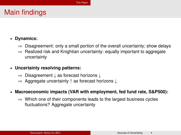### Main findings

- § **Dynamics:**
	- $\Rightarrow$  Disagreement: only a small portion of the overall uncertainty; show delays
	- $\Rightarrow$  Realized risk and Knightian uncertainty: equally important to aggregate uncertainty
- § **Uncertainty resolving patterns:**
	- $\Rightarrow$  Disagreement  $\downarrow$  as forecast horizons  $\downarrow$
	- $\Rightarrow$  Aggregate uncertainty  $\uparrow$  as forecast horizons  $\downarrow$
- § **Macroeconomic impacts (VAR with employment, fed fund rate, S&P500):**
	- $\Rightarrow$  Which one of their components leads to the largest business cycles fluctuations? Aggregate uncertainty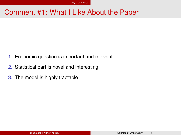### <span id="page-9-0"></span>Comment #1: What I Like About the Paper

- 1. Economic question is important and relevant
- 2. Statistical part is novel and interesting
- 3. The model is highly tractable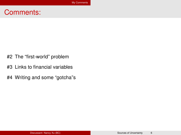### Comments:

- #2 The "first-world" problem
- #3 Links to financial variables
- #4 Writing and some "gotcha"s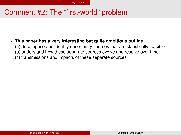### Comment #2: The "first-world" problem

### § **This paper has a very interesting but quite ambitious outline:**

- (a) decompose and identify uncertainty sources that are statistically feasible
- (b) understand how these separate sources evolve and resolve over time
- (c) transmissions and impacts of these separate sources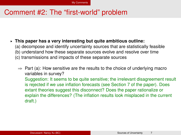### Comment #2: The "first-world" problem

- § **This paper has a very interesting but quite ambitious outline:**
	- (a) decompose and identify uncertainty sources that are statistically feasible
	- (b) understand how these separate sources evolve and resolve over time
	- (c) transmissions and impacts of these separate sources
		- $\Rightarrow$  Part (a): How sensitive are the results to the choice of underlying macro variables in survey?

Suggestion: It seems to be quite sensitive; the irrelevant disagreement result is rejected if we use inflation forecasts (see Section 7 of the paper). Does extant theories suggest this disconnect? Does the paper rationalize or explain the differences? (The inflation results look misplaced in the current draft.)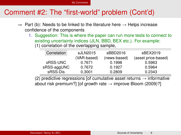[My Comments](#page-9-0)

### Comment #2: The "first-world" problem (Cont'd)

- $\Rightarrow$  Part (b): Needs to be linked to the literature here  $\rightarrow$  Helps increase confidence of the components
	- 1. Suggestion: This is where the paper can run more tests to connect to existing uncertainty indices (JLN, BBD, BEX etc.). For example: (1) correlation of the overlapping sample,

| Correlation | sJLN2015    | sBBD2016     | sBEX2019            |
|-------------|-------------|--------------|---------------------|
|             | (VAR-based) | (news-based) | (asset price-based) |
| sRSS-UNC    | 0.7671      | 0.1998       | 0.5963              |
| sRSS-aggUNC | 0.7672      | 0.1927       | 0.5964              |
| sRSS-Dis    | 0.3001      | 0.2809       | 0.2343              |

(2) predictive regressions [of cumulative asset returns  $\rightarrow$  informative about risk premium?] [of growth rate  $\rightarrow$  improve Bloom (2009)?]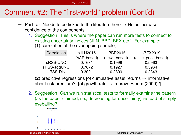[My Comments](#page-9-0)

### Comment #2: The "first-world" problem (Cont'd)

- $\Rightarrow$  Part (b): Needs to be linked to the literature here  $\rightarrow$  Helps increase confidence of the components
	- 1. Suggestion: This is where the paper can run more tests to connect to existing uncertainty indices (JLN, BBD, BEX etc.). For example: (1) correlation of the overlapping sample,

| Correlation | sJLN2015    | sBBD2016     | sBEX2019            |
|-------------|-------------|--------------|---------------------|
|             | (VAR-based) | (news-based) | (asset price-based) |
| sRSS-UNC    | 0.7671      | 0.1998       | 0.5963              |
| sRSS-aggUNC | 0.7672      | 0.1927       | 0.5964              |
| sRSS-Dis    | 0.3001      | 0.2809       | 0.2343              |

(2) predictive regressions [of cumulative asset returns  $\rightarrow$  informative about risk premium?] [of growth rate  $\rightarrow$  improve Bloom (2009)?]

2. Suggestion: Can we run statistical tests to formally examine the pattern (as the paper claimed, i.e., decreasing for uncertainty) instead of simply eyeballing?

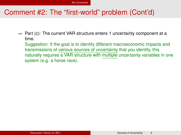### Comment #2: The "first-world" problem (Cont'd)

 $\Rightarrow$  Part (c): The current VAR structure enters 1 uncertainty component at a time.

Suggestion: If the goal is to identify different macroeconomic impacts and transmissions of various sources of uncertainty that you identify, this naturally requires a VAR structure with multiple uncertainty variables in one system (e.g. a horse race).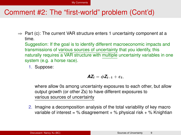### Comment #2: The "first-world" problem (Cont'd)

 $\Rightarrow$  Part (c): The current VAR structure enters 1 uncertainty component at a time.

Suggestion: If the goal is to identify different macroeconomic impacts and transmissions of various sources of uncertainty that you identify, this naturally requires a VAR structure with multiple uncertainty variables in one system (e.g. a horse race).

1. Suppose:

$$
\pmb{A}\pmb{Z}_t=\phi\pmb{Z}_{t-1}+\varepsilon_t,
$$

where allow 0s among uncertainty exposures to each other, but allow output growth (or other Zs) to have different exposures to various sources of uncertainty

2. Imagine a decomposition analysis of the total variability of key macro variable of interest = % disagreement + % physical risk + % Knightian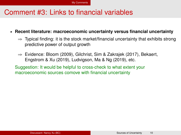### Comment #3: Links to financial variables

- § **Recent literature: macroeconomic uncertainty versus financial uncertainty**
	- $\Rightarrow$  Typical finding: it is the stock market/financial uncertainty that exhibits strong predictive power of output growth
	- $\Rightarrow$  Evidence: Bloom (2009), Gilchrist, Sim & Zakrajek (2017), Bekaert, Engstrom & Xu (2019), Ludvigson, Ma & Ng (2019), etc.

Suggestion: It would be helpful to cross-check to what extent your macroeconomic sources comove with financial uncertainty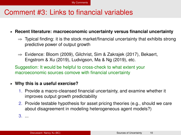### Comment #3: Links to financial variables

§ **Recent literature: macroeconomic uncertainty versus financial uncertainty**

- $\Rightarrow$  Typical finding: it is the stock market/financial uncertainty that exhibits strong predictive power of output growth
- $\Rightarrow$  Evidence: Bloom (2009), Gilchrist, Sim & Zakrajek (2017), Bekaert, Engstrom & Xu (2019), Ludvigson, Ma & Ng (2019), etc.

Suggestion: It would be helpful to cross-check to what extent your macroeconomic sources comove with financial uncertainty

#### § **Why this is a useful exercise?**

- 1. Provide a macro-cleansed financial uncertainty, and examine whether it improves output growth predictability
- 2. Provide testable hypothesis for asset pricing theories (e.g., should we care about disagreement in modeling heterogeneous agent models?)

3. ...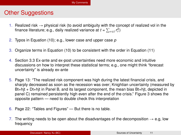### Other Suggestions

- 1. Realized risk  $\rightarrow$  physical risk (to avoid ambiguity with the concept of realized vol in the finance literature; e.g., daily realized variance at  $t$  =  $\sum_{\tau \in t} r_{\tau}^2$ )
- 2. Typos in Equation (10); e.g., lower case and upper case *p*
- 3. Organize terms in Equation (10) to be consistent with the order in Equation (11)
- 4. Section 3.3 Ex-ante and ex-post uncertainties need more economic and intuitive discussions on how to interpret these statistical terms; e.g., one might think "forecast uncertainty" is already ex-ante
- 5. Page 13: "The realized risk component was high during the latest financial crisis, and sharply decreased as soon as the recession was over; Knightian uncertainty (measured by Bt+hjt + Dt+hjt in Panel B, and its largest component, the mean bias Bt+hjt, depicted in panel C) remained persistently high even after the end of the crisis." Figure 3 shows the opposite pattern — need to double check this interpretation
- 6. Page 22: "Tables and Figures" But there is no table.
- 7. The writing needs to be open about the disadvantages of the decomposition  $\rightarrow$  e.g, low frequency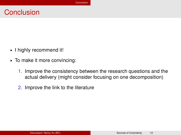### <span id="page-20-0"></span>**Conclusion**

- § I highly recommend it!
- § To make it more convincing:
	- 1. Improve the consistency between the research questions and the actual delivery (might consider focusing on one decomposition)
	- 2. Improve the link to the literature